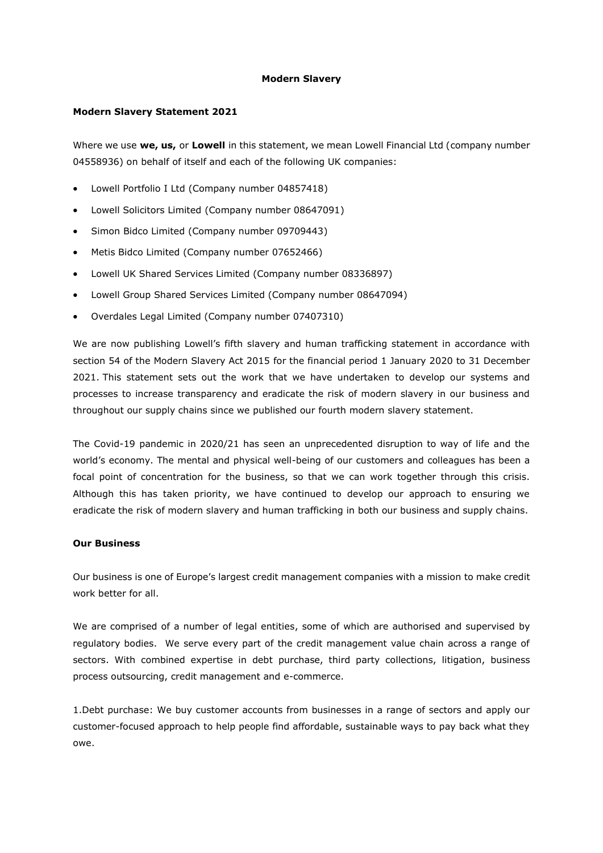## **Modern Slavery**

#### **Modern Slavery Statement 2021**

Where we use **we, us,** or **Lowell** in this statement, we mean Lowell Financial Ltd (company number 04558936) on behalf of itself and each of the following UK companies:

- Lowell Portfolio I Ltd (Company number 04857418)
- Lowell Solicitors Limited (Company number 08647091)
- Simon Bidco Limited (Company number 09709443)
- Metis Bidco Limited (Company number 07652466)
- Lowell UK Shared Services Limited (Company number 08336897)
- Lowell Group Shared Services Limited (Company number 08647094)
- Overdales Legal Limited (Company number 07407310)

We are now publishing Lowell's fifth slavery and human trafficking statement in accordance with section 54 of the Modern Slavery Act 2015 for the financial period 1 January 2020 to 31 December 2021. This statement sets out the work that we have undertaken to develop our systems and processes to increase transparency and eradicate the risk of modern slavery in our business and throughout our supply chains since we published our fourth modern slavery statement.

The Covid-19 pandemic in 2020/21 has seen an unprecedented disruption to way of life and the world's economy. The mental and physical well-being of our customers and colleagues has been a focal point of concentration for the business, so that we can work together through this crisis. Although this has taken priority, we have continued to develop our approach to ensuring we eradicate the risk of modern slavery and human trafficking in both our business and supply chains.

## **Our Business**

Our business is one of Europe's largest credit management companies with a mission to make credit work better for all.

We are comprised of a number of legal entities, some of which are authorised and supervised by regulatory bodies. We serve every part of the credit management value chain across a range of sectors. With combined expertise in debt purchase, third party collections, litigation, business process outsourcing, credit management and e-commerce.

1.Debt purchase: We buy customer accounts from businesses in a range of sectors and apply our customer-focused approach to help people find affordable, sustainable ways to pay back what they owe.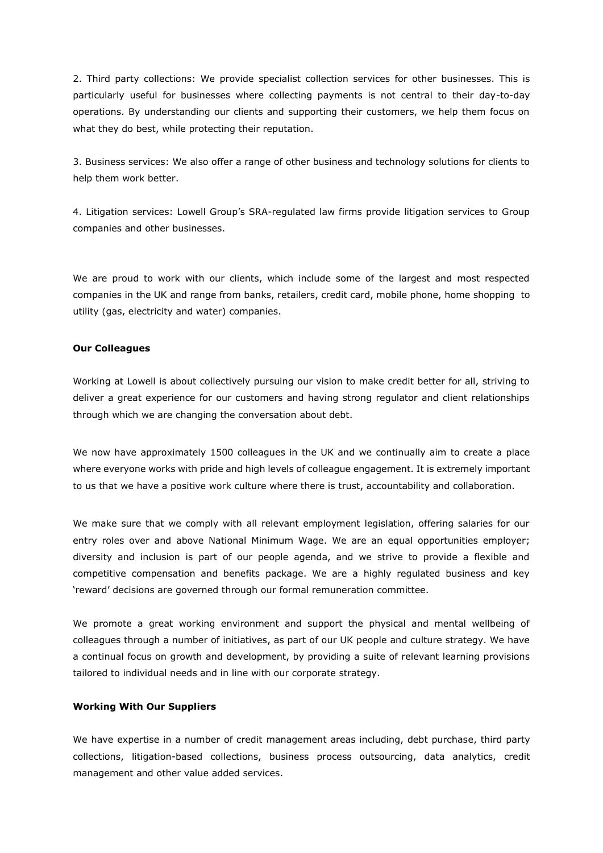2. Third party collections: We provide specialist collection services for other businesses. This is particularly useful for businesses where collecting payments is not central to their day-to-day operations. By understanding our clients and supporting their customers, we help them focus on what they do best, while protecting their reputation.

3. Business services: We also offer a range of other business and technology solutions for clients to help them work better.

4. Litigation services: Lowell Group's SRA-regulated law firms provide litigation services to Group companies and other businesses.

We are proud to work with our clients, which include some of the largest and most respected companies in the UK and range from banks, retailers, credit card, mobile phone, home shopping to utility (gas, electricity and water) companies.

# **Our Colleagues**

Working at Lowell is about collectively pursuing our vision to make credit better for all, striving to deliver a great experience for our customers and having strong regulator and client relationships through which we are changing the conversation about debt.

We now have approximately 1500 colleagues in the UK and we continually aim to create a place where everyone works with pride and high levels of colleague engagement. It is extremely important to us that we have a positive work culture where there is trust, accountability and collaboration.

We make sure that we comply with all relevant employment legislation, offering salaries for our entry roles over and above National Minimum Wage. We are an equal opportunities employer; diversity and inclusion is part of our people agenda, and we strive to provide a flexible and competitive compensation and benefits package. We are a highly regulated business and key 'reward' decisions are governed through our formal remuneration committee.

We promote a great working environment and support the physical and mental wellbeing of colleagues through a number of initiatives, as part of our UK people and culture strategy. We have a continual focus on growth and development, by providing a suite of relevant learning provisions tailored to individual needs and in line with our corporate strategy.

## **Working With Our Suppliers**

We have expertise in a number of credit management areas including, debt purchase, third party collections, litigation-based collections, business process outsourcing, data analytics, credit management and other value added services.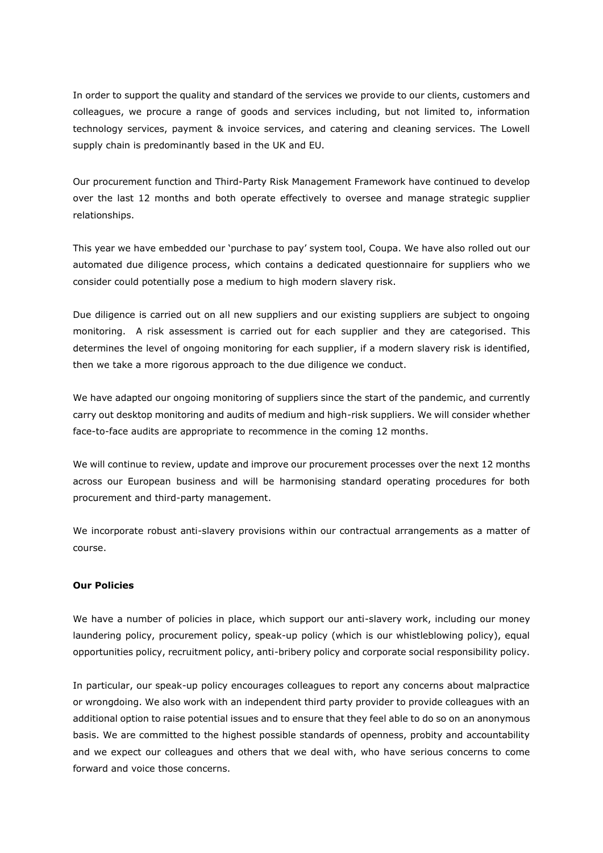In order to support the quality and standard of the services we provide to our clients, customers and colleagues, we procure a range of goods and services including, but not limited to, information technology services, payment & invoice services, and catering and cleaning services. The Lowell supply chain is predominantly based in the UK and EU.

Our procurement function and Third-Party Risk Management Framework have continued to develop over the last 12 months and both operate effectively to oversee and manage strategic supplier relationships.

This year we have embedded our 'purchase to pay' system tool, Coupa. We have also rolled out our automated due diligence process, which contains a dedicated questionnaire for suppliers who we consider could potentially pose a medium to high modern slavery risk.

Due diligence is carried out on all new suppliers and our existing suppliers are subject to ongoing monitoring. A risk assessment is carried out for each supplier and they are categorised. This determines the level of ongoing monitoring for each supplier, if a modern slavery risk is identified, then we take a more rigorous approach to the due diligence we conduct.

We have adapted our ongoing monitoring of suppliers since the start of the pandemic, and currently carry out desktop monitoring and audits of medium and high-risk suppliers. We will consider whether face-to-face audits are appropriate to recommence in the coming 12 months.

We will continue to review, update and improve our procurement processes over the next 12 months across our European business and will be harmonising standard operating procedures for both procurement and third-party management.

We incorporate robust anti-slavery provisions within our contractual arrangements as a matter of course.

## **Our Policies**

We have a number of policies in place, which support our anti-slavery work, including our money laundering policy, procurement policy, speak-up policy (which is our whistleblowing policy), equal opportunities policy, recruitment policy, anti-bribery policy and corporate social responsibility policy.

In particular, our speak-up policy encourages colleagues to report any concerns about malpractice or wrongdoing. We also work with an independent third party provider to provide colleagues with an additional option to raise potential issues and to ensure that they feel able to do so on an anonymous basis. We are committed to the highest possible standards of openness, probity and accountability and we expect our colleagues and others that we deal with, who have serious concerns to come forward and voice those concerns.